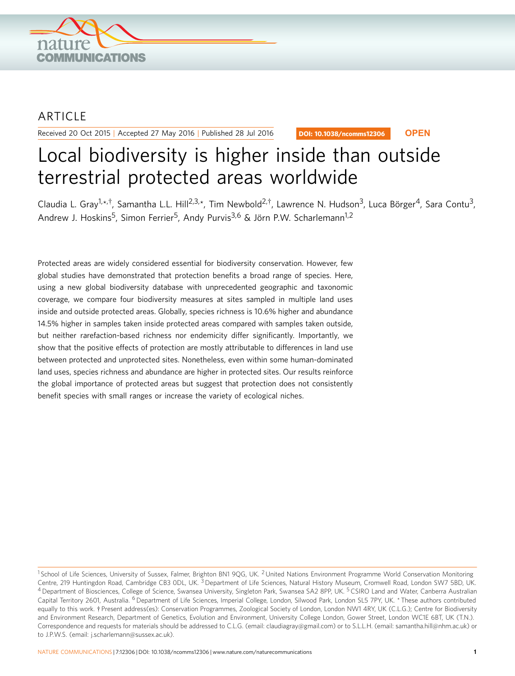

## **ARTICLE**

Received 20 Oct 2015 | Accepted 27 May 2016 | Published 28 Jul 2016

DOI: 10.1038/ncomms12306 **OPEN**

# Local biodiversity is higher inside than outside terrestrial protected areas worldwide

Claudia L. Gray<sup>1,\*,†</sup>, Samantha L.L. Hill<sup>2,3,\*</sup>, Tim Newbold<sup>2,†</sup>, Lawrence N. Hudson<sup>3</sup>, Luca Börger<sup>4</sup>, Sara Contu<sup>3</sup>, Andrew J. Hoskins<sup>5</sup>, Simon Ferrier<sup>5</sup>, Andy Purvis<sup>3,6</sup> & Jörn P.W. Scharlemann<sup>1,2</sup>

Protected areas are widely considered essential for biodiversity conservation. However, few global studies have demonstrated that protection benefits a broad range of species. Here, using a new global biodiversity database with unprecedented geographic and taxonomic coverage, we compare four biodiversity measures at sites sampled in multiple land uses inside and outside protected areas. Globally, species richness is 10.6% higher and abundance 14.5% higher in samples taken inside protected areas compared with samples taken outside, but neither rarefaction-based richness nor endemicity differ significantly. Importantly, we show that the positive effects of protection are mostly attributable to differences in land use between protected and unprotected sites. Nonetheless, even within some human-dominated land uses, species richness and abundance are higher in protected sites. Our results reinforce the global importance of protected areas but suggest that protection does not consistently benefit species with small ranges or increase the variety of ecological niches.

<sup>&</sup>lt;sup>1</sup> School of Life Sciences, University of Sussex, Falmer, Brighton BN1 9QG, UK. <sup>2</sup> United Nations Environment Programme World Conservation Monitoring Centre, 219 Huntingdon Road, Cambridge CB3 ODL, UK.<sup>3</sup> Department of Life Sciences, Natural History Museum, Cromwell Road, London SW7 5BD, UK. 4 Department of Biosciences, College of Science, Swansea University, Singleton Park, Swansea SA2 8PP, UK. <sup>5</sup> CSIRO Land and Water, Canberra Australian Capital Territory 2601, Australia. <sup>6</sup> Department of Life Sciences, Imperial College, London, Silwood Park, London SL5 7PY, UK. \* These authors contributed equally to this work. † Present address(es): Conservation Programmes, Zoological Society of London, London NW1 4RY, UK (C.L.G.); Centre for Biodiversity and Environment Research, Department of Genetics, Evolution and Environment, University College London, Gower Street, London WC1E 6BT, UK (T.N.). Correspondence and requests for materials should be addressed to C.L.G. (email: [claudiagray@gmail.com](mailto:claudiagray@gmail.com)) or to S.L.L.H. (email: [samantha.hill@nhm.ac.uk\)](mailto:samantha.hill@nhm.ac.uk) or to J.P.W.S. (email: [j.scharlemann@sussex.ac.uk\)](mailto:j.scharlemann@sussex.ac.uk).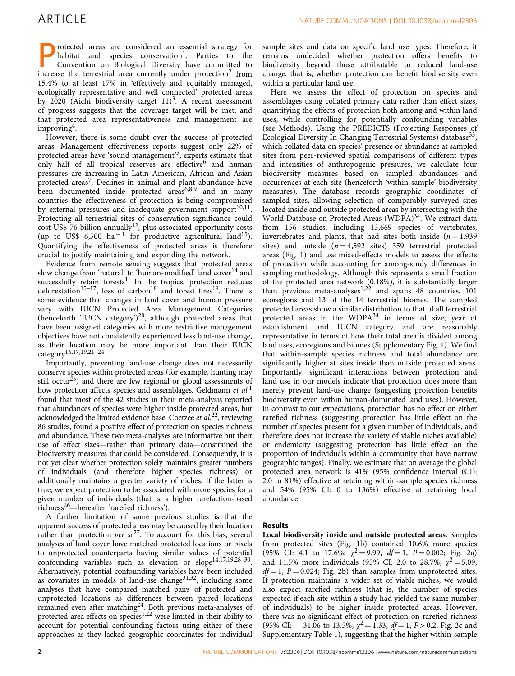rotected areas are considered an essential strategy for habitat and species conservation<sup>1</sup>. Parties to the Convention on Biological Diversity have committed to increase the terrestrial area currently under protection<sup>[2](#page-5-0)</sup> from 15.4% to at least 17% in 'effectively and equitably managed, ecologically representative and well connected' protected areas by 2020 (Aichi biodiversity target  $11$ <sup>3</sup>. A recent assessment of progress suggests that the coverage target will be met, and that protected area representativeness and management are  $improving<sup>4</sup>$ .

However, there is some doubt over the success of protected areas. Management effectiveness reports suggest only 22% of protected areas have 'sound management'<sup>[5](#page-5-0)</sup>, experts estimate that only half of all tropical reserves are effective<sup>[6](#page-5-0)</sup> and human pressures are increasing in Latin American, African and Asian protected areas<sup>7</sup>. Declines in animal and plant abundance have been documented inside protected areas<sup>[6,8,9](#page-5-0)</sup> and in many countries the effectiveness of protection is being compromised by external pressures and inadequate government support $10,11$ . Protecting all terrestrial sites of conservation significance could  $\frac{1}{2}$  cost US\$ 76 billion annually<sup>12</sup>, plus associated opportunity costs (up to US\$ 6,500 ha<sup>-1</sup> for productive agricultural land<sup>[13](#page-5-0)</sup>). Quantifying the effectiveness of protected areas is therefore crucial to justify maintaining and expanding the network.

Evidence from remote sensing suggests that protected areas slow change from 'natural' to 'human-modified' land cover<sup>[14](#page-5-0)</sup> and successfully retain forests<sup>1</sup>. In the tropics, protection reduces deforestation<sup>15-17</sup>, loss of carbon<sup>18</sup> and forest fires<sup>19</sup>. There is some evidence that changes in land cover and human pressure vary with IUCN Protected Area Management Categories (henceforth 'IUCN category')[20](#page-5-0), although protected areas that have been assigned categories with more restrictive management objectives have not consistently experienced less land-use change, as their location may be more important than their IUCN categor[y16,17,19,21–24.](#page-5-0)

Importantly, preventing land-use change does not necessarily conserve species within protected areas (for example, hunting may still occur<sup>25</sup>) and there are few regional or global assessments of how protection affects species and assemblages. Geldmann et al.<sup>[1](#page-5-0)</sup> found that most of the 42 studies in their meta-analysis reported that abundances of species were higher inside protected areas, but acknowledged the limited evidence base. Coetzee et  $al^{22}$  $al^{22}$  $al^{22}$ , reviewing 86 studies, found a positive effect of protection on species richness and abundance. These two meta-analyses are informative but their use of effect sizes—rather than primary data—constrained the biodiversity measures that could be considered. Consequently, it is not yet clear whether protection solely maintains greater numbers of individuals (and therefore higher species richness) or additionally maintains a greater variety of niches. If the latter is true, we expect protection to be associated with more species for a given number of individuals (that is, a higher rarefaction-based richness[26—](#page-5-0)hereafter 'rarefied richness').

A further limitation of some previous studies is that the apparent success of protected areas may be caused by their location rather than protection *per se*<sup>27</sup>. To account for this bias, several analyses of land cover have matched protected locations or pixels to unprotected counterparts having similar values of potential confounding variables such as elevation or slope<sup>14,17,19,28-30</sup>. Alternatively, potential confounding variables have been included as covariates in models of land-use change $31,32$ , including some analyses that have compared matched pairs of protected and unprotected locations as differences between paired locations remained even after matching<sup>24</sup>. Both previous meta-analyses of protected-area effects on species<sup>[1,22](#page-5-0)</sup> were limited in their ability to account for potential confounding factors using either of these approaches as they lacked geographic coordinates for individual

sample sites and data on specific land use types. Therefore, it remains undecided whether protection offers benefits to biodiversity beyond those attributable to reduced land-use change, that is, whether protection can benefit biodiversity even within a particular land use.

Here we assess the effect of protection on species and assemblages using collated primary data rather than effect sizes, quantifying the effects of protection both among and within land uses, while controlling for potentially confounding variables (see Methods). Using the PREDICTS (Projecting Responses of Ecological Diversity In Changing Terrestrial Systems) database<sup>33</sup>, which collated data on species' presence or abundance at sampled sites from peer-reviewed spatial comparisons of different types and intensities of anthropogenic pressures, we calculate four biodiversity measures based on sampled abundances and occurrences at each site (henceforth 'within-sample' biodiversity measures). The database records geographic coordinates of sampled sites, allowing selection of comparably surveyed sites located inside and outside protected areas by intersecting with the World Database on Protected Areas (WDPA)<sup>[34](#page-5-0)</sup>. We extract data from 156 studies, including 13,669 species of vertebrates, invertebrates and plants, that had sites both inside  $(n = 1,939)$ sites) and outside  $(n = 4.592 \text{ sites})$  359 terrestrial protected areas [\(Fig. 1](#page-2-0)) and use mixed-effects models to assess the effects of protection while accounting for among-study differences in sampling methodology. Although this represents a small fraction of the protected area network (0.18%), it is substantially larger than previous meta-analyses<sup>[1,22](#page-5-0)</sup> and spans 48 countries, 101 ecoregions and 13 of the 14 terrestrial biomes. The sampled protected areas show a similar distribution to that of all terrestrial protected areas in the  $WDPA^{34}$  $WDPA^{34}$  $WDPA^{34}$  in terms of size, year of establishment and IUCN category and are reasonably representative in terms of how their total area is divided among land uses, ecoregions and biomes (Supplementary Fig. 1). We find that within-sample species richness and total abundance are significantly higher at sites inside than outside protected areas. Importantly, significant interactions between protection and land use in our models indicate that protection does more than merely prevent land-use change (suggesting protection benefits biodiversity even within human-dominated land uses). However, in contrast to our expectations, protection has no effect on either rarefied richness (suggesting protection has little effect on the number of species present for a given number of individuals, and therefore does not increase the variety of viable niches available) or endemicity (suggesting protection has little effect on the proportion of individuals within a community that have narrow geographic ranges). Finally, we estimate that on average the global protected area network is 41% (95% confidence interval (CI): 2.0 to 81%) effective at retaining within-sample species richness and 54% (95% CI: 0 to 136%) effective at retaining local abundance.

### Results

Local biodiversity inside and outside protected areas. Samples from protected sites [\(Fig. 1b](#page-2-0)) contained 10.6% more species (95% CI: 4.1 to 17.6%;  $\chi^2 = 9.99$ ,  $df = 1$ ,  $P = 0.002$ ; [Fig. 2a](#page-2-0)) and 14.5% more individuals (95% CI: 2.0 to 28.7%;  $\chi^2 = 5.09$ ,  $df = 1$ ,  $P = 0.024$ ; [Fig. 2b](#page-2-0)) than samples from unprotected sites. If protection maintains a wider set of viable niches, we would also expect rarefied richness (that is, the number of species expected if each site within a study had yielded the same number of individuals) to be higher inside protected areas. However, there was no significant effect of protection on rarefied richness (95% CI:  $-31.06$  to 13.5%;  $\chi^2 = 1.33$ ,  $df = 1$ ,  $P > 0.2$ ; [Fig. 2c](#page-2-0) and Supplementary Table 1), suggesting that the higher within-sample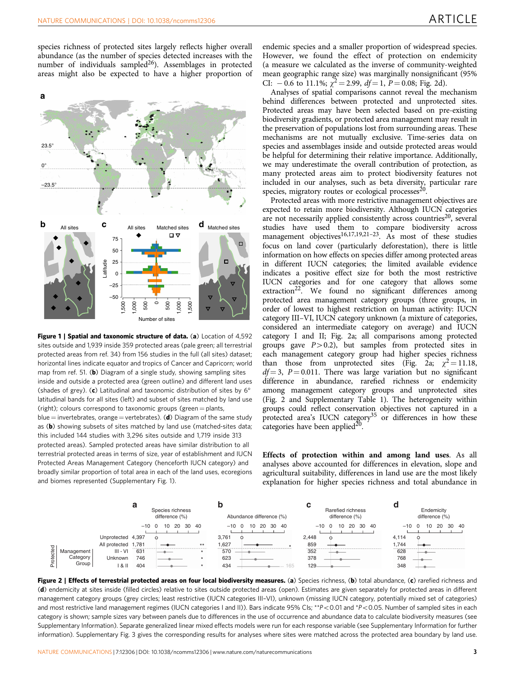<span id="page-2-0"></span>species richness of protected sites largely reflects higher overall abundance (as the number of species detected increases with the number of individuals sampled $^{26}$  $^{26}$  $^{26}$ ). Assemblages in protected areas might also be expected to have a higher proportion of



Figure 1 | Spatial and taxonomic structure of data. (a) Location of 4,592 sites outside and 1,939 inside 359 protected areas (pale green; all terrestrial protected areas from [ref. 34](#page-5-0)) from 156 studies in the full (all sites) dataset; horizontal lines indicate equator and tropics of Cancer and Capricorn; world map from [ref. 51](#page-6-0). (b) Diagram of a single study, showing sampling sites inside and outside a protected area (green outline) and different land uses (shades of grey). (c) Latitudinal and taxonomic distribution of sites by  $6^{\circ}$ latitudinal bands for all sites (left) and subset of sites matched by land use (right); colours correspond to taxonomic groups (green  $=$  plants, blue = invertebrates, orange = vertebrates). (d) Diagram of the same study as  $(b)$  showing subsets of sites matched by land use (matched-sites data; this included 144 studies with 3,296 sites outside and 1,719 inside 313

protected areas). Sampled protected areas have similar distribution to all terrestrial protected areas in terms of size, year of establishment and IUCN Protected Areas Management Category (henceforth IUCN category) and broadly similar proportion of total area in each of the land uses, ecoregions and biomes represented (Supplementary Fig. 1).

endemic species and a smaller proportion of widespread species. However, we found the effect of protection on endemicity (a measure we calculated as the inverse of community-weighted mean geographic range size) was marginally nonsignificant (95% CI:  $-0.6$  to 11.1%;  $\chi^2 = 2.99$ ,  $df = 1$ ,  $P = 0.08$ ; Fig. 2d).

Analyses of spatial comparisons cannot reveal the mechanism behind differences between protected and unprotected sites. Protected areas may have been selected based on pre-existing biodiversity gradients, or protected area management may result in the preservation of populations lost from surrounding areas. These mechanisms are not mutually exclusive. Time-series data on species and assemblages inside and outside protected areas would be helpful for determining their relative importance. Additionally, we may underestimate the overall contribution of protection, as many protected areas aim to protect biodiversity features not included in our analyses, such as beta diversity, particular rare species, migratory routes or ecological processes $^{20}$ .

Protected areas with more restrictive management objectives are expected to retain more biodiversity. Although IUCN categories are not necessarily applied consistently across countries<sup>20</sup>, several studies have used them to compare biodiversity across management objectives<sup>16,17,19,21–23</sup>. As most of these studies focus on land cover (particularly deforestation), there is little information on how effects on species differ among protected areas in different IUCN categories; the limited available evidence indicates a positive effect size for both the most restrictive IUCN categories and for one category that allows some extraction<sup>22</sup>. We found no significant differences among protected area management category groups (three groups, in order of lowest to highest restriction on human activity: IUCN category III–VI, IUCN category unknown (a mixture of categories, considered an intermediate category on average) and IUCN category I and II; Fig. 2a; all comparisons among protected groups gave  $P > 0.2$ ), but samples from protected sites in each management category group had higher species richness than those from unprotected sites (Fig. 2a;  $\chi^2 = 11.18$ ,  $df = 3$ , P = 0.011. There was large variation but no significant difference in abundance, rarefied richness or endemicity among management category groups and unprotected sites (Fig. 2 and Supplementary Table 1). The heterogeneity within groups could reflect conservation objectives not captured in a protected area's IUCN category<sup>[35](#page-5-0)</sup> or differences in how these categories have been applied<sup>20</sup>.

Effects of protection within and among land uses. As all analyses above accounted for differences in elevation, slope and agricultural suitability, differences in land use are the most likely explanation for higher species richness and total abundance in



Figure 2 | Effects of terrestrial protected areas on four local biodiversity measures. (a) Species richness, (b) total abundance, (c) rarefied richness and (d) endemicity at sites inside (filled circles) relative to sites outside protected areas (open). Estimates are given separately for protected areas in different management category groups (grey circles; least restrictive (IUCN categories III–VI), unknown (missing IUCN category, potentially mixed set of categories) and most restrictive land management regimes (IUCN categories I and II)). Bars indicate 95% CIs; \*\*P<0.01 and \*P<0.05. Number of sampled sites in each category is shown; sample sizes vary between panels due to differences in the use of occurrence and abundance data to calculate biodiversity measures (see Supplementary Information). Separate generalized linear mixed effects models were run for each response variable (see Supplementary Information for further information). Supplementary Fig. 3 gives the corresponding results for analyses where sites were matched across the protected area boundary by land use.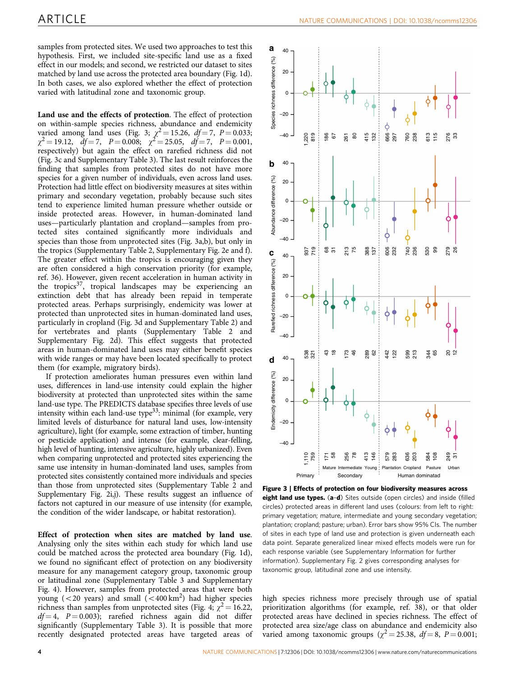<span id="page-3-0"></span>samples from protected sites. We used two approaches to test this hypothesis. First, we included site-specific land use as a fixed effect in our models; and second, we restricted our dataset to sites matched by land use across the protected area boundary ([Fig. 1d](#page-2-0)). In both cases, we also explored whether the effect of protection varied with latitudinal zone and taxonomic group.

Land use and the effects of protection. The effect of protection on within-sample species richness, abundance and endemicity varied among land uses (Fig. 3;  $\chi^2 = 15.26$ ,  $df = 7$ ,  $P = 0.033$ ;  $\chi^2 = 19.12$ ,  $df = 7$ ,  $P = 0.008$ ;  $\chi^2 = 25.05$ ,  $df = 7$ ,  $P = 0.001$ , respectively) but again the effect on rarefied richness did not (Fig. 3c and Supplementary Table 3). The last result reinforces the finding that samples from protected sites do not have more species for a given number of individuals, even across land uses. Protection had little effect on biodiversity measures at sites within primary and secondary vegetation, probably because such sites tend to experience limited human pressure whether outside or inside protected areas. However, in human-dominated land uses—particularly plantation and cropland—samples from protected sites contained significantly more individuals and species than those from unprotected sites (Fig. 3a,b), but only in the tropics (Supplementary Table 2, Supplementary Fig. 2e and f). The greater effect within the tropics is encouraging given they are often considered a high conservation priority (for example, [ref. 36\)](#page-5-0). However, given recent acceleration in human activity in the tropics<sup>37</sup>, tropical landscapes may be experiencing an extinction debt that has already been repaid in temperate protected areas. Perhaps surprisingly, endemicity was lower at protected than unprotected sites in human-dominated land uses, particularly in cropland (Fig. 3d and Supplementary Table 2) and for vertebrates and plants (Supplementary Table 2 and Supplementary Fig. 2d). This effect suggests that protected areas in human-dominated land uses may either benefit species with wide ranges or may have been located specifically to protect them (for example, migratory birds).

If protection ameliorates human pressures even within land uses, differences in land-use intensity could explain the higher biodiversity at protected than unprotected sites within the same land-use type. The PREDICTS database specifies three levels of use intensity within each land-use type $33$ : minimal (for example, very limited levels of disturbance for natural land uses, low-intensity agriculture), light (for example, some extraction of timber, hunting or pesticide application) and intense (for example, clear-felling, high level of hunting, intensive agriculture, highly urbanized). Even when comparing unprotected and protected sites experiencing the same use intensity in human-dominated land uses, samples from protected sites consistently contained more individuals and species than those from unprotected sites (Supplementary Table 2 and Supplementary Fig. 2i,j). These results suggest an influence of factors not captured in our measure of use intensity (for example, the condition of the wider landscape, or habitat restoration).

Effect of protection when sites are matched by land use. Analysing only the sites within each study for which land use could be matched across the protected area boundary ([Fig. 1d](#page-2-0)), we found no significant effect of protection on any biodiversity measure for any management category group, taxonomic group or latitudinal zone (Supplementary Table 3 and Supplementary Fig. 4). However, samples from protected areas that were both young ( $<$  20 years) and small ( $<$  400 km<sup>2</sup>) had higher species richness than samples from unprotected sites ([Fig. 4](#page-4-0);  $\chi^2 = 16.22$ ,  $df = 4$ ,  $P = 0.003$ ; rarefied richness again did not differ significantly (Supplementary Table 3). It is possible that more recently designated protected areas have targeted areas of



Figure 3 | Effects of protection on four biodiversity measures across eight land use types. (a-d) Sites outside (open circles) and inside (filled circles) protected areas in different land uses (colours: from left to right: primary vegetation; mature, intermediate and young secondary vegetation; plantation; cropland; pasture; urban). Error bars show 95% CIs. The number of sites in each type of land use and protection is given underneath each data point. Separate generalized linear mixed effects models were run for each response variable (see Supplementary Information for further information). Supplementary Fig. 2 gives corresponding analyses for taxonomic group, latitudinal zone and use intensity.

high species richness more precisely through use of spatial prioritization algorithms (for example, [ref. 38\)](#page-5-0), or that older protected areas have declined in species richness. The effect of protected area size/age class on abundance and endemicity also varied among taxonomic groups ( $\chi^2$  = 25.38, df = 8, P = 0.001;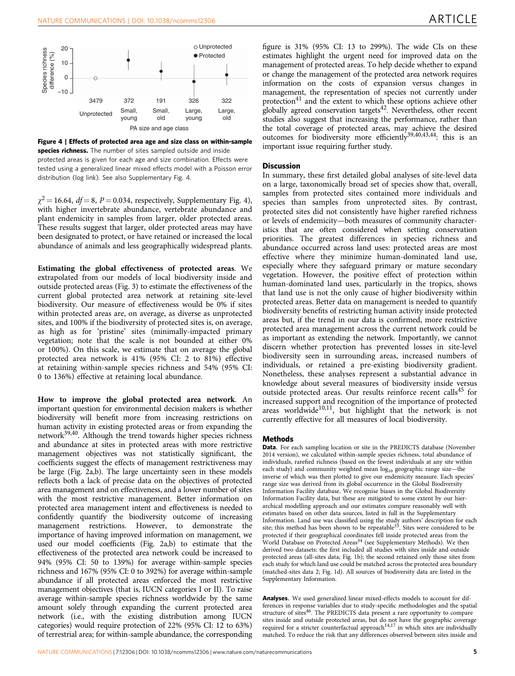<span id="page-4-0"></span>

Figure 4 | Effects of protected area age and size class on within-sample species richness. The number of sites sampled outside and inside protected areas is given for each age and size combination. Effects were tested using a generalized linear mixed effects model with a Poisson error distribution (log link). See also Supplementary Fig. 4.

 $\gamma^2 = 16.64$ ,  $df = 8$ ,  $P = 0.034$ , respectively, Supplementary Fig. 4), with higher invertebrate abundance, vertebrate abundance and plant endemicity in samples from larger, older protected areas. These results suggest that larger, older protected areas may have been designated to protect, or have retained or increased the local abundance of animals and less geographically widespread plants.

Estimating the global effectiveness of protected areas. We extrapolated from our models of local biodiversity inside and outside protected areas [\(Fig. 3\)](#page-3-0) to estimate the effectiveness of the current global protected area network at retaining site-level biodiversity. Our measure of effectiveness would be 0% if sites within protected areas are, on average, as diverse as unprotected sites, and 100% if the biodiversity of protected sites is, on average, as high as for 'pristine' sites (minimally-impacted primary vegetation; note that the scale is not bounded at either 0% or 100%). On this scale, we estimate that on average the global protected area network is 41% (95% CI: 2 to 81%) effective at retaining within-sample species richness and 54% (95% CI: 0 to 136%) effective at retaining local abundance.

How to improve the global protected area network. An important question for environmental decision makers is whether biodiversity will benefit more from increasing restrictions on human activity in existing protected areas or from expanding the network<sup>39,40</sup>. Although the trend towards higher species richness and abundance at sites in protected areas with more restrictive management objectives was not statistically significant, the coefficients suggest the effects of management restrictiveness may be large [\(Fig. 2a,b](#page-2-0)). The large uncertainty seen in these models reflects both a lack of precise data on the objectives of protected area management and on effectiveness, and a lower number of sites with the most restrictive management. Better information on protected area management intent and effectiveness is needed to confidently quantify the biodiversity outcome of increasing management restrictions. However, to demonstrate the importance of having improved information on management, we used our model coefficients [\(Fig. 2a,b\)](#page-2-0) to estimate that the effectiveness of the protected area network could be increased to 94% (95% CI: 50 to 139%) for average within-sample species richness and 167% (95% CI: 0 to 392%) for average within-sample abundance if all protected areas enforced the most restrictive management objectives (that is, IUCN categories I or II). To raise average within-sample species richness worldwide by the same amount solely through expanding the current protected area network (i.e., with the existing distribution among IUCN categories) would require protection of 22% (95% CI: 12 to 63%) of terrestrial area; for within-sample abundance, the corresponding figure is 31% (95% CI: 13 to 299%). The wide CIs on these estimates highlight the urgent need for improved data on the management of protected areas. To help decide whether to expand or change the management of the protected area network requires information on the costs of expansion versus changes in management, the representation of species not currently under protection<sup>[41](#page-6-0)</sup> and the extent to which these options achieve other globally agreed conservation targets<sup>42</sup>. Nevertheless, other recent studies also suggest that increasing the performance, rather than the total coverage of protected areas, may achieve the desired outcomes for biodiversity more efficiently<sup>39,40,43,44</sup>: this is an important issue requiring further study.

### **Discussion**

In summary, these first detailed global analyses of site-level data on a large, taxonomically broad set of species show that, overall, samples from protected sites contained more individuals and species than samples from unprotected sites. By contrast, protected sites did not consistently have higher rarefied richness or levels of endemicity—both measures of community characteristics that are often considered when setting conservation priorities. The greatest differences in species richness and abundance occurred across land uses: protected areas are most effective where they minimize human-dominated land use, especially where they safeguard primary or mature secondary vegetation. However, the positive effect of protection within human-dominated land uses, particularly in the tropics, shows that land use is not the only cause of higher biodiversity within protected areas. Better data on management is needed to quantify biodiversity benefits of restricting human activity inside protected areas but, if the trend in our data is confirmed, more restrictive protected area management across the current network could be as important as extending the network. Importantly, we cannot discern whether protection has prevented losses in site-level biodiversity seen in surrounding areas, increased numbers of individuals, or retained a pre-existing biodiversity gradient. Nonetheless, these analyses represent a substantial advance in knowledge about several measures of biodiversity inside versus outside protected areas. Our results reinforce recent calls<sup>[45](#page-6-0)</sup> for increased support and recognition of the importance of protected areas worldwide<sup>10,11</sup>, but highlight that the network is not currently effective for all measures of local biodiversity.

### **Methods**

Data. For each sampling location or site in the PREDICTS database (November 2014 version), we calculated within-sample species richness, total abundance of individuals, rarefied richness (based on the fewest individuals at any site within each study) and community weighted mean  $log_{10}$  geographic range size—the inverse of which was then plotted to give our endemicity measure. Each species' range size was derived from its global occurrence in the Global Biodiversity Information Facility database. We recognise biases in the Global Biodiversity Information Facility data, but these are mitigated to some extent by our hierarchical modelling approach and our estimates compare reasonably well with estimates based on other data sources, listed in full in the Supplementary Information. Land use was classified using the study authors' description for each site; this method has been shown to be repeatable<sup>33</sup>. Sites were considered to be protected if their geographical coordinates fell inside protected areas from the World Database on Protected Areas<sup>[34](#page-5-0)</sup> (see Supplementary Methods). We then derived two datasets: the first included all studies with sites inside and outside protected areas (all-sites data; [Fig. 1b\)](#page-2-0); the second retained only those sites from each study for which land use could be matched across the protected area boundary (matched-sites data 2; [Fig. 1d\)](#page-2-0). All sources of biodiversity data are listed in the Supplementary Information.

Analyses. We used generalized linear mixed-effects models to account for differences in response variables due to study-specific methodologies and the spatial structure of sites<sup>46</sup>. The PREDICTS data present a rare opportunity to compare sites inside and outside protected areas, but do not have the geographic coverage required for a stricter counterfactual approach<sup>[14,17](#page-5-0)</sup> in which sites are individually matched. To reduce the risk that any differences observed between sites inside and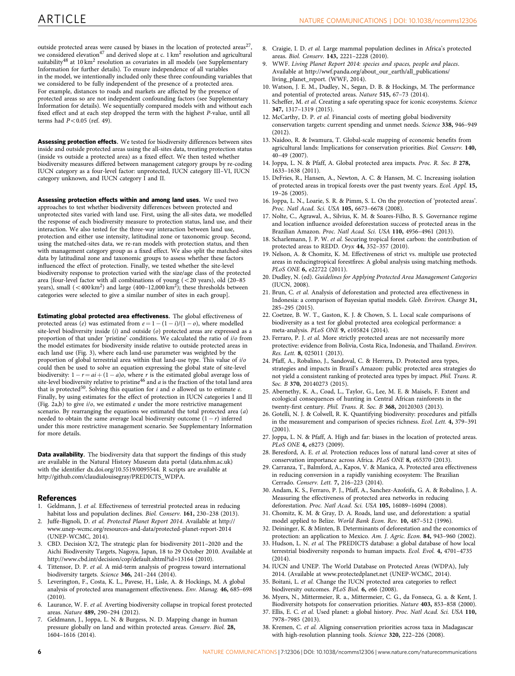<span id="page-5-0"></span>outside protected areas were caused by biases in the location of protected areas<sup>27</sup>, we considered elevation<sup>47</sup> and derived slope at c.  $1 \text{ km}^2$  resolution and agricultural suitability $^{48}$  $^{48}$  $^{48}$  at 10 km<sup>2</sup> resolution as covariates in all models (see Supplementary Information for further details). To ensure independence of all variables in the model, we intentionally included only these three confounding variables that we considered to be fully independent of the presence of a protected area. For example, distances to roads and markets are affected by the presence of protected areas so are not independent confounding factors (see Supplementary Information for details). We sequentially compared models with and without each fixed effect and at each step dropped the term with the highest P-value, until all terms had  $P < 0.05$  ([ref. 49\)](#page-6-0).

Assessing protection effects. We tested for biodiversity differences between sites inside and outside protected areas using the all-sites data, treating protection status (inside vs outside a protected area) as a fixed effect. We then tested whether biodiversity measures differed between management category groups by re-coding IUCN category as a four-level factor: unprotected, IUCN category III–VI, IUCN category unknown, and IUCN category I and II.

Assessing protection effects within and among land uses. We used two approaches to test whether biodiversity differences between protected and unprotected sites varied with land use. First, using the all-sites data, we modelled the response of each biodiversity measure to protection status, land use, and their interaction. We also tested for the three-way interaction between land use, protection and either use intensity, latitudinal zone or taxonomic group. Second, using the matched-sites data, we re-ran models with protection status, and then with management category group as a fixed effect. We also split the matched-sites data by latitudinal zone and taxonomic groups to assess whether these factors influenced the effect of protection. Finally, we tested whether the site-level biodiversity response to protection varied with the size/age class of the protected area [four-level factor with all combinations of young  $(<$  20 years), old (20–85 years), small  $( $400 \text{ km}^2$ )$  and large  $(400-12,000 \text{ km}^2)$ ; these thresholds between categories were selected to give a similar number of sites in each group].

Estimating global protected area effectiveness. The global effectiveness of protected areas (e) was estimated from  $e = 1 - (1 - i)/(1 - o)$ , where modelled site-level biodiversity inside (i) and outside (o) protected areas are expressed as a proportion of that under 'pristine' conditions. We calculated the ratio of i/o from the model estimates for biodiversity inside relative to outside protected areas in each land use ([Fig. 3\)](#page-3-0), where each land-use parameter was weighted by the proportion of global terrestrial area within that land-use type. This value of i/o could then be used to solve an equation expressing the global state of site-level biodiversity:  $1 - r = ai + (1 - a)o$ , where r is the estimated global average loss of site-level biodiversity relative to pristine<sup>[46](#page-6-0)</sup> and *a* is the fraction of the total land area that is protected<sup>50</sup>. Solving this equation for  $i$  and  $o$  allowed us to estimate  $e$ . Finally, by using estimates for the effect of protection in IUCN categories I and II [\(Fig. 2a,b\)](#page-2-0) to give  $i/o$ , we estimated  $e$  under the more restrictive management scenario. By rearranging the equations we estimated the total protected area (a) needed to obtain the same average local biodiversity outcome  $(1 - r)$  inferred under this more restrictive management scenario. See Supplementary Information for more details.

Data availability. The biodiversity data that support the findings of this study are available in the Natural History Museum data portal (data.nhm.ac.uk) with the identifier dx.doi.org/10.5519/0095544. R scripts are available at [http://github.com/claudialouisegray/PREDICTS\\_WDPA](http://github.com/claudialouisegray/PREDICTS_WDPA).

### **References**

- 1. Geldmann, J. et al. Effectiveness of terrestrial protected areas in reducing habitat loss and population declines. Biol. Conserv. 161, 230-238 (2013).
- 2. Juffe-Bignoli, D. et al. Protected Planet Report 2014. Available at [http://](http://www.unep-wcmc.org/resources-and-data/protected-planet-report-2014) [www.unep-wcmc.org/resources-and-data/protected-planet-report-2014](http://www.unep-wcmc.org/resources-and-data/protected-planet-report-2014) (UNEP-WCMC, 2014).
- 3. CBD. Decision X/2, The strategic plan for biodiversity 2011–2020 and the Aichi Biodiversity Targets, Nagoya, Japan, 18 to 29 October 2010. Available at <http://www.cbd.int/decision/cop/default.shtml?id=13164> (2010).
- Tittensor, D. P. et al. A mid-term analysis of progress toward international biodiversity targets. Science 346, 241-244 (2014).
- 5. Leverington, F., Costa, K. L., Pavese, H., Lisle, A. & Hockings, M. A global analysis of protected area management effectiveness. Env. Manag. 46, 685–698 (2010).
- 6. Laurance, W. F. et al. Averting biodiversity collapse in tropical forest protected areas. Nature 489, 290–294 (2012).
- 7. Geldmann, J., Joppa, L. N. & Burgess, N. D. Mapping change in human pressure globally on land and within protected areas. Conserv. Biol. 28, 1604–1616 (2014).
- 8. Craigie, I. D. et al. Large mammal population declines in Africa's protected areas. Biol. Conserv. 143, 2221–2228 (2010).
- 9. WWF. Living Planet Report 2014: species and spaces, people and places. Available at http://wwf.panda.org/about\_our\_earth/all\_publications/ living\_planet\_report. (WWF, 2014).
- 10. Watson, J. E. M., Dudley, N., Segan, D. B. & Hockings, M. The performance and potential of protected areas. Nature 515, 67–73 (2014).
- 11. Scheffer, M. et al. Creating a safe operating space for iconic ecosystems. Science 347, 1317–1319 (2015).
- 12. McCarthy, D. P. et al. Financial costs of meeting global biodiversity conservation targets: current spending and unmet needs. Science 338, 946–949 (2012).
- 13. Naidoo, R. & Iwamura, T. Global-scale mapping of economic benefits from agricultural lands: Implications for conservation priorities. Biol. Conserv. 140, 40–49 (2007).
- 14. Joppa, L. N. & Pfaff, A. Global protected area impacts. Proc. R. Soc. B 278, 1633–1638 (2011).
- 15. DeFries, R., Hansen, A., Newton, A. C. & Hansen, M. C. Increasing isolation of protected areas in tropical forests over the past twenty years. Ecol. Appl. 15, 19–26 (2005).
- 16. Joppa, L. N., Loarie, S. R. & Pimm, S. L. On the protection of 'protected areas'. Proc. Natl Acad. Sci. USA 105, 6673–6678 (2008).
- 17. Nolte, C., Agrawal, A., Silvius, K. M. & Soares-Filho, B. S. Governance regime and location influence avoided deforestation success of protected areas in the Brazilian Amazon. Proc. Natl Acad. Sci. USA 110, 4956–4961 (2013).
- 18. Scharlemann, J. P. W. et al. Securing tropical forest carbon: the contribution of protected areas to REDD. Oryx 44, 352–357 (2010).
- 19. Nelson, A. & Chomitz, K. M. Effectiveness of strict vs. multiple use protected areas in reducingtropical forestfires: A global analysis using matching methods. PLoS ONE 6, e22722 (2011).
- 20. Dudley, N. (ed). Guidelines for Applying Protected Area Management Categories (IUCN, 2008).
- 21. Brun, C. et al. Analysis of deforestation and protected area effectiveness in Indonesia: a comparison of Bayesian spatial models. Glob. Environ. Change 31, 285–295 (2015).
- 22. Coetzee, B. W. T., Gaston, K. J. & Chown, S. L. Local scale comparisons of biodiversity as a test for global protected area ecological performance: a meta-analysis. PLoS ONE 9, e105824 (2014).
- 23. Ferraro, P. J. et al. More strictly protected areas are not necessarily more protective: evidence from Bolivia, Costa Rica, Indonesia, and Thailand. Environ. Res. Lett. 8, 025011 (2013).
- 24. Pfaff, A., Robalino, J., Sandoval, C. & Herrera, D. Protected area types, strategies and impacts in Brazil's Amazon: public protected area strategies do not yield a consistent ranking of protected area types by impact. Phil. Trans. R. Soc. B 370, 20140273 (2015).
- 25. Abernethy, K. A., Coad, L., Taylor, G., Lee, M. E. & Maisels, F. Extent and ecological consequences of hunting in Central African rainforests in the twenty-first century. Phil. Trans. R. Soc. B 368, 20120303 (2013).
- 26. Gotelli, N. J. & Colwell, R. K. Quantifying biodiversity: procedures and pitfalls in the measurement and comparison of species richness. Ecol. Lett. 4, 379–391 (2001).
- 27. Joppa, L. N. & Pfaff, A. High and far: biases in the location of protected areas. PLoS ONE 4, e8273 (2009).
- 28. Beresford, A. E. et al. Protection reduces loss of natural land-cover at sites of conservation importance across Africa. PLoS ONE 8, e65370 (2013).
- 29. Carranza, T., Balmford, A., Kapos, V. & Manica, A. Protected area effectiveness in reducing conversion in a rapidly vanishing ecosystem: The Brazilian Cerrado. Conserv. Lett. 7, 216–223 (2014).
- 30. Andam, K. S., Ferraro, P. J., Pfaff, A., Sanchez-Azofeifa, G. A. & Robalino, J. A. Measuring the effectiveness of protected area networks in reducing deforestation. Proc. Natl Acad. Sci. USA 105, 16089–16094 (2008).
- 31. Chomitz, K. M. & Gray, D. A. Roads, land use, and deforestation: a spatial model applied to Belize. World Bank Econ. Rev. 10, 487–512 (1996).
- 32. Deininger, K. & Minten, B. Determinants of deforestation and the economics of protection: an application to Mexico. Am. J. Agric. Econ. 84, 943-960 (2002).
- 33. Hudson, L. N. et al. The PREDICTS database: a global database of how local terrestrial biodiversity responds to human impacts. Ecol. Evol. 4, 4701–4735 (2014).
- 34. IUCN and UNEP. The World Database on Protected Areas (WDPA), July 2014. (Available at<www.protectedplanet.net> (UNEP-WCMC, 2014).
- 35. Boitani, L. et al. Change the IUCN protected area categories to reflect biodiversity outcomes. PLoS Biol. 6, e66 (2008).
- 36. Myers, N., Mittermeier, R. a., Mittermeier, C. G., da Fonseca, G. a. & Kent, J. Biodiversity hotspots for conservation priorities. Nature 403, 853–858 (2000).
- 37. Ellis, E. C. et al. Used planet: a global history. Proc. Natl Acad. Sci. USA 110, 7978–7985 (2013).
- 38. Kremen, C. et al. Aligning conservation priorities across taxa in Madagascar with high-resolution planning tools. Science 320, 222–226 (2008).